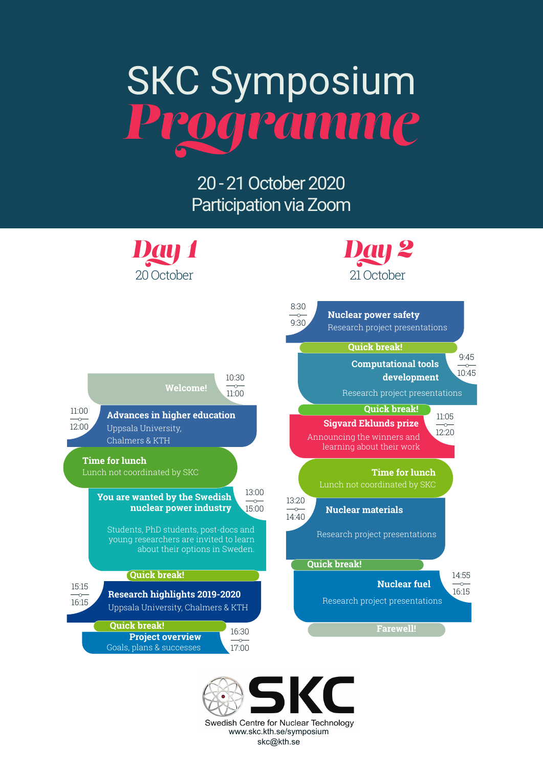# SKC Symposium *Programme*

20 - 21 October 2020 Participation via Zoom



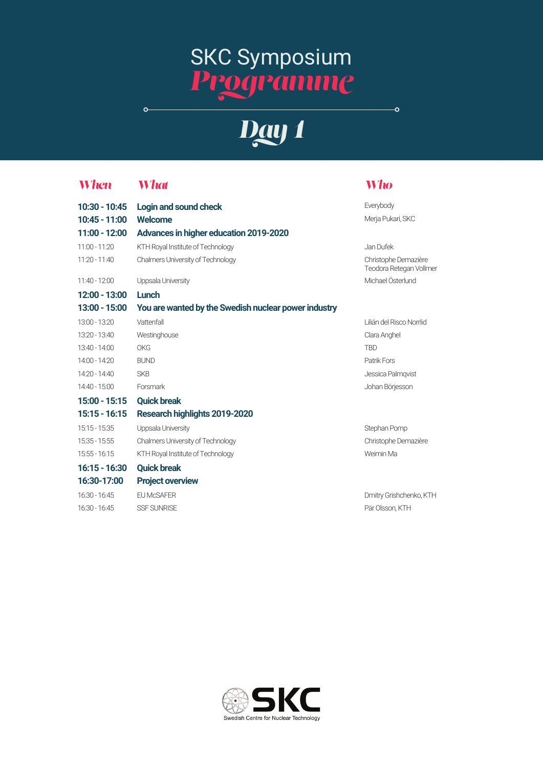### SKC Symposium *Programme*

## *Day 1*

 $\overline{\bullet}$ 

20 October

#### *When What Who*

 $\circ$ 

| 10:30 - 10:45 | Login and sound check                                | Everybody                                       |
|---------------|------------------------------------------------------|-------------------------------------------------|
| 10:45 - 11:00 | <b>Welcome</b>                                       | Merja Pukari, SKC                               |
| 11:00 - 12:00 | Advances in higher education 2019-2020               |                                                 |
| 11:00 - 11:20 | KTH Royal Institute of Technology                    | Jan Dufek                                       |
| 11:20 - 11:40 | Chalmers University of Technology                    | Christophe Demazière<br>Teodora Retegan Vollmer |
| 11:40 - 12:00 | Uppsala University                                   | Michael Österlund                               |
| 12:00 - 13:00 | Lunch                                                |                                                 |
| 13:00 - 15:00 | You are wanted by the Swedish nuclear power industry |                                                 |
| 13:00 - 13:20 | Vattenfall                                           | Lilián del Risco Norrlid                        |
| 13:20 - 13:40 | Westinghouse                                         | Clara Anghel                                    |
| 13:40 - 14:00 | OKG                                                  | <b>TBD</b>                                      |
| 14:00 - 14:20 | <b>BUND</b>                                          | Patrik Fors                                     |
| 14:20 - 14:40 | <b>SKB</b>                                           | Jessica Palmqvist                               |
| 14:40 - 15:00 | Forsmark                                             | Johan Börjesson                                 |
| 15:00 - 15:15 | <b>Quick break</b>                                   |                                                 |
| 15:15 - 16:15 | Research highlights 2019-2020                        |                                                 |
| 15:15 - 15:35 | Uppsala University                                   | Stephan Pomp                                    |
| 15:35 - 15:55 | <b>Chalmers University of Technology</b>             | Christophe Demazière                            |
| 15:55 - 16:15 | KTH Royal Institute of Technology                    | Weimin Ma                                       |
| 16:15 - 16:30 | <b>Quick break</b>                                   |                                                 |
| 16:30-17:00   | <b>Project overview</b>                              |                                                 |
| 16:30 - 16:45 | <b>EU McSAFER</b>                                    | Dmitry Grishchenko, KTH                         |
| 16:30 - 16:45 | <b>SSF SUNRISE</b>                                   | Pär Olsson, KTH                                 |
|               |                                                      |                                                 |